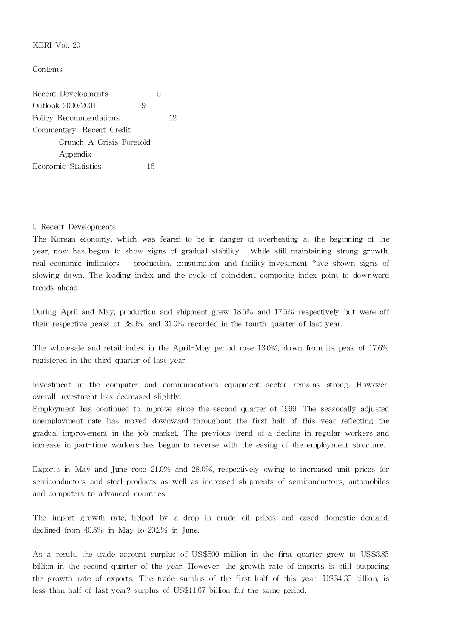KERI Vol. 20

Contents

Recent Developments 5 Outlook 2000/2001 9 Policy Recommendations 12 Commentary: Recent Credit Crunch-A Crisis Foretold Appendix Economic Statistics 16

## I. Recent Developments

The Korean economy, which was feared to be in danger of overheating at the beginning of the year, now has begun to show signs of gradual stability. While still maintaining strong growth, real economic indicators production, consumption and facility investment ?ave shown signs of slowing down. The leading index and the cycle of coincident composite index point to downward trends ahead.

During April and May, production and shipment grew 18.5% and 17.5% respectively but were off their respective peaks of 28.9% and 31.0% recorded in the fourth quarter of last year.

The wholesale and retail index in the April-May period rose 13.0%, down from its peak of 17.6% registered in the third quarter of last year.

Investment in the computer and communications equipment sector remains strong. However, overall investment has decreased slightly.

Employment has continued to improve since the second quarter of 1999. The seasonally adjusted unemployment rate has moved downward throughout the first half of this year reflecting the gradual improvement in the job market. The previous trend of a decline in regular workers and increase in part-time workers has begun to reverse with the easing of the employment structure.

Exports in May and June rose 21.0% and 28.0%, respectively owing to increased unit prices for semiconductors and steel products as well as increased shipments of semiconductors, automobiles and computers to advanced countries.

The import growth rate, helped by a drop in crude oil prices and eased domestic demand, declined from 40.5% in May to 29.2% in June.

As a result, the trade account surplus of US\$500 million in the first quarter grew to US\$3.85 billion in the second quarter of the year. However, the growth rate of imports is still outpacing the growth rate of exports. The trade surplus of the first half of this year, US\$4.35 billion, is less than half of last year? surplus of US\$11.67 billion for the same period.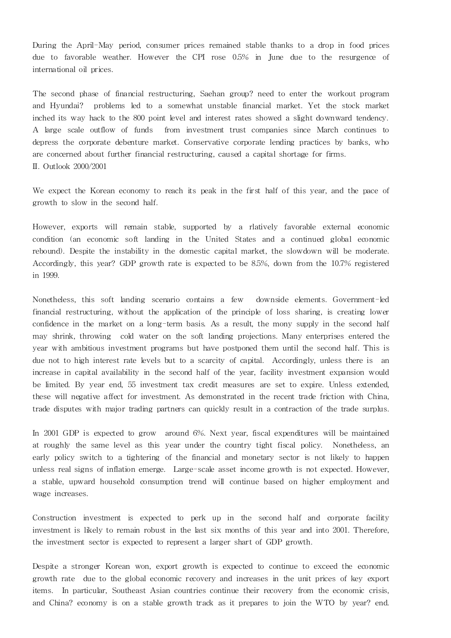During the April-May period, consumer prices remained stable thanks to a drop in food prices due to favorable weather. However the CPI rose 0.5% in June due to the resurgence of interna tional oil prices.

The second phase of financial restructuring, Saehan group? need to enter the workout program and Hyundai? problems led to a somewhat unstable financial market. Yet the stock market inched its way hack to the 800 point level and interest rates showed a slight downward tendency. A large scale outflow of funds from investment trust companies since March continues to depress the corporate debenture market. Conservative corporate lending practices by banks, who are concerned about further financial restructuring, caused a capital shortage for firms. II. Outlook 2000/2001

We expect the Korean economy to reach its peak in the first half of this year, and the pace of growth to slow in the second half.

However, exports will remain stable, supported by a rlatively favorable external economic condition (an economic soft landing in the United States and a continued global economic rebound). Despite the instability in the domestic capital market, the slowdown will be moderate. Accordingly, this year? GDP growth rate is expected to be 8.5%, down from the 10.7% registered in 1999.

Nonetheless, this soft landing scenario contains a few downside elements. Government-led financial restructuring, without the application of the principle of loss sharing, is creating lower confidence in the market on a long-term basis. As a result, the mony supply in the second half may shrink, throwing cold water on the soft landing projections. Many enterprises entered the year with ambitious investment programs but have postponed them until the second half. This is due not to high interest rate levels but to a scarcity of capital. Accordingly, unless there is an increase in capital availability in the second half of the year, facility investment expansion would be limited. By year end, 55 investment tax credit measures are set to expire. Unless extended, these will negative a ffect for investment. As demonstrated in the recent trade friction with China, trade disputes with major trading partners can quickly result in a contraction of the trade surplus.

In 2001 GDP is expected to grow around 6%. Next year, fiscal expenditures will be maintained at roughly the same level as this year under the country tight fiscal policy. Nonetheless, an early policy switch to a tightering of the financial and monetary sector is not likely to happen unless real signs of inflation emerge. Large-scale asset income growth is not expected. However, a stable, upward household consumption trend will continue based on higher employment and wage increases.

Construction investment is expected to perk up in the second half and corporate facility investment is likely to remain robust in the last six months of this year and into 2001. Therefore, the investment sector is expected to represent a larger shart of GDP growth.

Despite a stronger Korean won, export growth is expected to continue to exceed the economic growth rate due to the global economic recovery and increases in the unit prices of key export items. In particular, Southeast Asian countries continue their recovery from the economic crisis, and China? economy is on a stable growth track as it prepares to join the WTO by year? end.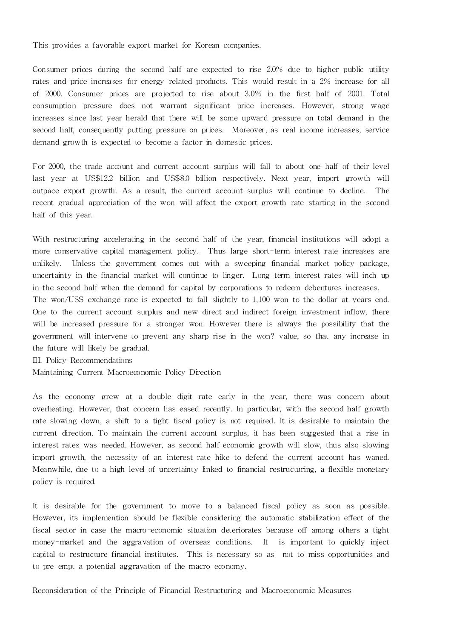This provides a favorable export market for Korean companies.

Consumer prices during the second half are expected to rise 2.0% due to higher public utility rates and price increases for energy-related products. This would result in a 2% increase for all of 2000. Consumer prices are pro jected to rise about 3.0% in the first half of 2001. Total consumption pressure does not warrant significant price increases. However, strong wage increases since last year herald that there will be some upward pressure on total demand in the second half, consequently putting pressure on prices. Moreover, as real income increases, service demand growth is expected to become a factor in domestic prices.

For 2000, the trade account and current account surplus will fall to about one-half of their level last year at US\$12.2 billion and US\$8.0 billion respectively. Next year, import growth will outpace export growth. As a result, the current account surplus will continue to decline. The recent gradual appreciation of the won will affect the export growth rate starting in the second half of this year.

With restructuring accelerating in the second half of the year, financial institutions will adopt a more conservative capital management policy. Thus large short-term interest rate increases are unlikely. Unless the government comes out with a sweeping financial market policy package, uncertainty in the financial market will continue to linger. Long-term interest rates will inch up in the second half when the demand for capital by corporations to redeem debentures increases. The won/US\$ exchange rate is expected to fall slightly to 1,100 won to the dollar at years end. One to the current account surplus and new direct and indirect foreign investment inflow, there

will be increased pressure for a stronger won. However there is always the possibility that the government will intervene to prevent any sharp rise in the won? value, so that any increase in the future will likely be gradual.

III. Policy Recommendations

Maintaining Current Macroeconomic Policy Direction

As the economy grew at a double digit rate early in the year, there was concern about overheating. However, that concern has eased recently. In particular, with the second half growth rate slowing down, a shift to a tight fiscal policy is not required. It is desirable to maintain the current direction. To maintain the current account surplus, it has been suggested that a rise in interest rates was needed. However, as second half economic growth will slow, thus also slowing import growth, the necessity of an interest rate hike to defend the current account has waned. Meanwhile, due to a high level of uncertainty linked to financial restructuring, a flexible monetary policy is required.

It is desirable for the government to move to a balanced fiscal policy as soon as possible. However, its implemention should be flexible considering the automatic stabilization effect of the fiscal sector in case the macro-economic situation deteriorates because off among others a tight money-market and the aggravation of overseas conditions. It is important to quickly inject capital to restructure financial institutes. This is necessary so as not to miss opportunities and to pre-empt a potential aggravation of the macro-economy.

Reconsidera tion of the Principle of Financial Restructuring and Macroeconomic Measures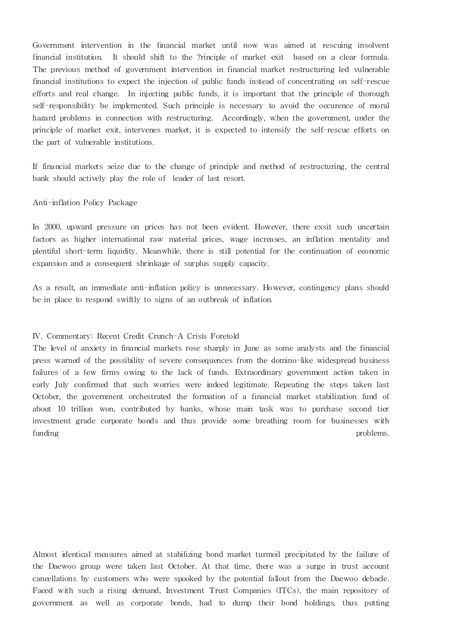Government intervention in the financial market until now was aimed at rescuing insolvent financial institution. It should shift to the ?rinciple of market exit based on a clear formula. The previous method of government intervention in financial market restructuring led vulnerable financial institutions to expect the injection of public funds instead of concentrating on self-rescue efforts and real change. In injecting public funds, it is important that the principle of thorough self-responsibility be implemented. Such principle is necessary to avoid the occurence of moral hazard problems in connection with restructuring. Accordingly, when the government, under the principle of market exit, intervenes market, it is expected to intensify the self-rescue efforts on the part of vulnerable institutions.

If financial markets seize due to the change of principle and method of restructuring, the central bank should actively play the role of leader of last resort.

## Anti-inflation Policy Package

In 2000, upward pressure on prices has not been evident. However, there exsit such uncertain factors as higher international raw material prices, wage increases, an inflation mentality and plentiful short-term liquidity. Meanwhile, there is still potential for the continuation of economic expansion and a consequent shrinkage of surplus supply capacity.

As a result, an immediate anti-inflation policy is unnecessary. However, contingency plans should be in place to respond swiftly to signs of an outbreak of inflation.

## IV. Commentary: Recent Credit Crunch-A Crisis Foretold

The level of anxiety in financial markets rose sharply in June as some analysts and the financial press warned of the possibility of severe consequences from the domino-like widespread business failures of a few firms owing to the lack of funds. Extraordinary government action taken in early July confirmed that such worries were indeed legitimate. Repeating the steps taken last October, the government orchestrated the formation of a financial market stabilization fund of about 10 trillion won, contributed by banks, whose main task was to purchase second tier investment grade corporate bonds and thus provide some breathing room for businesses with funding problems.

Almost identical measures aimed at stabilizing bond market turmoil precipitated by the failure of the Daewoo group were taken last October. At that time, there was a surge in trust account cancellations by customers who were spooked by the potential fallout from the Daewoo debacle. Faced with such a rising demand, Investment Trust Companies (ITCs), the main repository of government as well as corporate bonds, had to dump their bond holdings, thus putting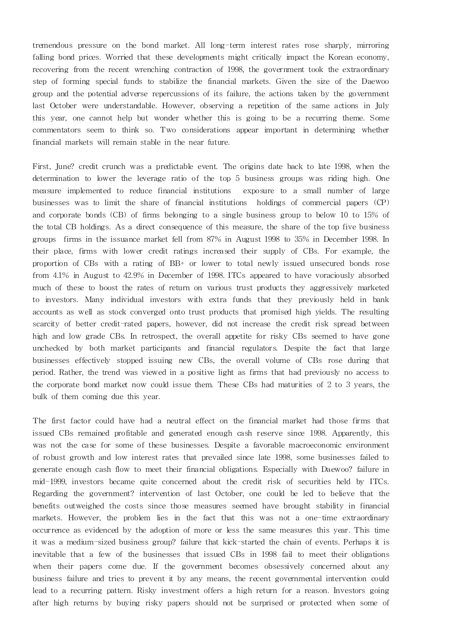tremendous pressure on the bond market. All long-term interest rates rose sharply, mirroring falling bond prices. Worried that these developments might critically impact the Korean economy, recovering from the recent wrenching contraction of 1998, the government took the extraordinary step of forming special funds to stabilize the financial markets. Given the size of the Daewoo group and the potential adverse repercussions of its failure, the actions taken by the government last October were understandable. However, observing a repetition of the same actions in July this year, one cannot help but wonder whether this is going to be a recurring theme. Some commentators seem to think so. Two considerations appear important in determining whether financial markets will remain stable in the near future.

First, June? credit crunch was a predictable event. The origins date back to late 1998, when the determination to lower the leverage ratio of the top 5 business groups was riding high. One measure implemented to reduce financial institutions exposure to a small number of large businesses was to limit the share of financial institutions holdings of commercial papers (CP) and corporate bonds (CB) of firms belonging to a single business group to below 10 to 15% of the total CB holdings. As a direct consequence of this measure, the share of the top five business groups firms in the issuance market fell from 87% in August 1998 to 35% in December 1998. In their place, firms with lower credit ratings increased their supply of CBs. For example, the proportion of CBs with a rating of BB+ or lower to total newly issued unsecured bonds rose from 4.1% in August to 42.9% in December of 1998. ITCs appeared to have voraciously absorbed much of these to boost the rates of return on various trust products they aggressively marketed to investors. Many individual investors with extra funds that they previously held in bank accounts as well as stock converged onto trust products that promised high yields. The resulting scarcity of better credit-rated papers, however, did not increase the credit risk spread between high and low grade CBs. In retrospect, the overall appetite for risky CBs seemed to have gone unchecked by both market participants and financial regulators. Despite the fact that large businesses effectively stopped issuing new CBs, the overall volume of CBs rose during that period. Rather, the trend was viewed in a positive light as firms that had previously no access to the corporate bond market now could issue them. These CBs had maturities of 2 to 3 years, the bulk of them coming due this year.

The first factor could have had a neutral effect on the financial market had those firms that issued CBs remained profitable and generated enough cash reserve since 1998. Apparently, this was not the case for some of these businesses. Despite a favorable macroeconomic environment of robust growth and low interest rates that prevailed since late 1998, some businesses failed to generate enough cash flow to meet their financial obligations. Especially with Daewoo? failure in mid-1999, investors became quite concerned about the credit risk of securities held by ITCs. Regarding the government? intervention of last October, one could be led to believe that the benefits outweighed the costs since those measures seemed have brought stability in financial markets. However, the problem lies in the fact that this was not a one-time extraordinary occurrence as evidenced by the adoption of more or less the same measures this year. This time it was a medium-sized business group? failure that kick-started the chain of events. Perhaps it is inevitable that a few of the businesses that issued CBs in 1998 fail to meet their obligations when their papers come due. If the government becomes obsessively concerned about any business failure and tries to prevent it by any means, the recent governmental intervention could lead to a recurring pattern. Risky investment offers a high return for a reason. Investors going after high returns by buying risky papers should not be surprised or protected when some of